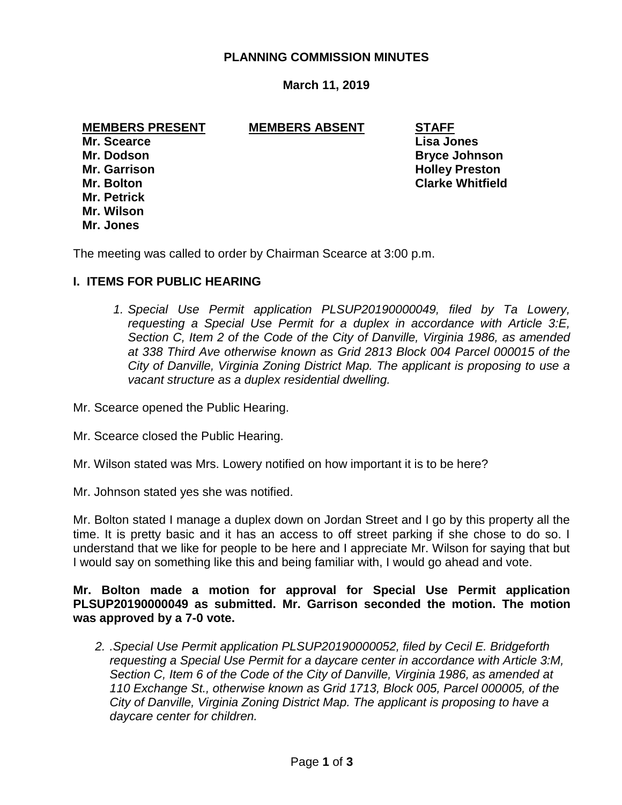## **PLANNING COMMISSION MINUTES**

### **March 11, 2019**

#### **MEMBERS PRESENT MEMBERS ABSENT STAFF**

**Mr. Scearce Lisa Jones Mr. Petrick Mr. Wilson Mr. Jones**

**Mr. Dodson Bryce Johnson Mr. Garrison Music Community Community Community Community Community Community Community Community Community Community Community Community Community Community Community Community Community Community Community Community Co Mr. Bolton Clarke Whitfield**

The meeting was called to order by Chairman Scearce at 3:00 p.m.

### **I. ITEMS FOR PUBLIC HEARING**

*1. Special Use Permit application PLSUP20190000049, filed by Ta Lowery, requesting a Special Use Permit for a duplex in accordance with Article 3:E, Section C, Item 2 of the Code of the City of Danville, Virginia 1986, as amended at 338 Third Ave otherwise known as Grid 2813 Block 004 Parcel 000015 of the City of Danville, Virginia Zoning District Map. The applicant is proposing to use a vacant structure as a duplex residential dwelling.*

Mr. Scearce opened the Public Hearing.

Mr. Scearce closed the Public Hearing.

- Mr. Wilson stated was Mrs. Lowery notified on how important it is to be here?
- Mr. Johnson stated yes she was notified.

Mr. Bolton stated I manage a duplex down on Jordan Street and I go by this property all the time. It is pretty basic and it has an access to off street parking if she chose to do so. I understand that we like for people to be here and I appreciate Mr. Wilson for saying that but I would say on something like this and being familiar with, I would go ahead and vote.

**Mr. Bolton made a motion for approval for Special Use Permit application PLSUP20190000049 as submitted. Mr. Garrison seconded the motion. The motion was approved by a 7-0 vote.**

*2. .Special Use Permit application PLSUP20190000052, filed by Cecil E. Bridgeforth requesting a Special Use Permit for a daycare center in accordance with Article 3:M, Section C, Item 6 of the Code of the City of Danville, Virginia 1986, as amended at 110 Exchange St., otherwise known as Grid 1713, Block 005, Parcel 000005, of the City of Danville, Virginia Zoning District Map. The applicant is proposing to have a daycare center for children.*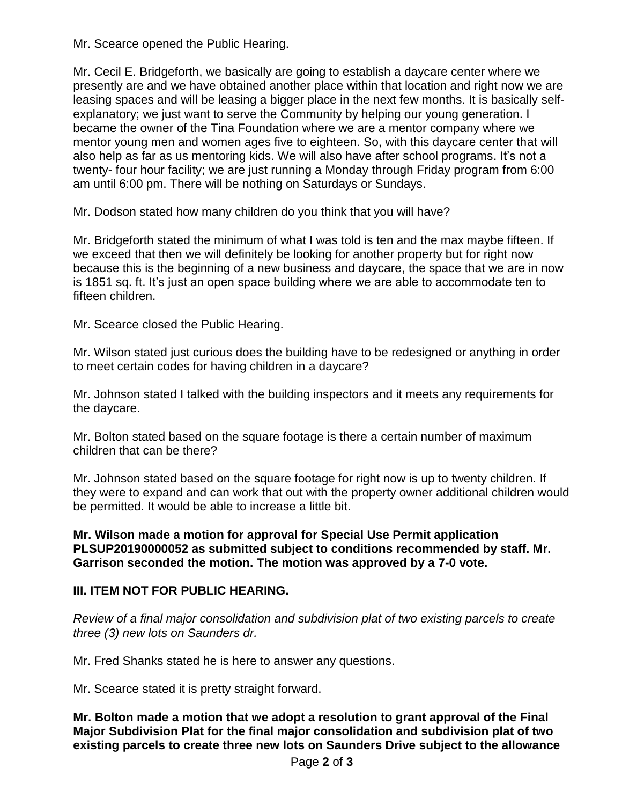Mr. Scearce opened the Public Hearing.

Mr. Cecil E. Bridgeforth, we basically are going to establish a daycare center where we presently are and we have obtained another place within that location and right now we are leasing spaces and will be leasing a bigger place in the next few months. It is basically selfexplanatory; we just want to serve the Community by helping our young generation. I became the owner of the Tina Foundation where we are a mentor company where we mentor young men and women ages five to eighteen. So, with this daycare center that will also help as far as us mentoring kids. We will also have after school programs. It's not a twenty- four hour facility; we are just running a Monday through Friday program from 6:00 am until 6:00 pm. There will be nothing on Saturdays or Sundays.

Mr. Dodson stated how many children do you think that you will have?

Mr. Bridgeforth stated the minimum of what I was told is ten and the max maybe fifteen. If we exceed that then we will definitely be looking for another property but for right now because this is the beginning of a new business and daycare, the space that we are in now is 1851 sq. ft. It's just an open space building where we are able to accommodate ten to fifteen children.

Mr. Scearce closed the Public Hearing.

Mr. Wilson stated just curious does the building have to be redesigned or anything in order to meet certain codes for having children in a daycare?

Mr. Johnson stated I talked with the building inspectors and it meets any requirements for the daycare.

Mr. Bolton stated based on the square footage is there a certain number of maximum children that can be there?

Mr. Johnson stated based on the square footage for right now is up to twenty children. If they were to expand and can work that out with the property owner additional children would be permitted. It would be able to increase a little bit.

**Mr. Wilson made a motion for approval for Special Use Permit application PLSUP20190000052 as submitted subject to conditions recommended by staff. Mr. Garrison seconded the motion. The motion was approved by a 7-0 vote.** 

# **III. ITEM NOT FOR PUBLIC HEARING.**

*Review of a final major consolidation and subdivision plat of two existing parcels to create three (3) new lots on Saunders dr.*

Mr. Fred Shanks stated he is here to answer any questions.

Mr. Scearce stated it is pretty straight forward.

**Mr. Bolton made a motion that we adopt a resolution to grant approval of the Final Major Subdivision Plat for the final major consolidation and subdivision plat of two existing parcels to create three new lots on Saunders Drive subject to the allowance**